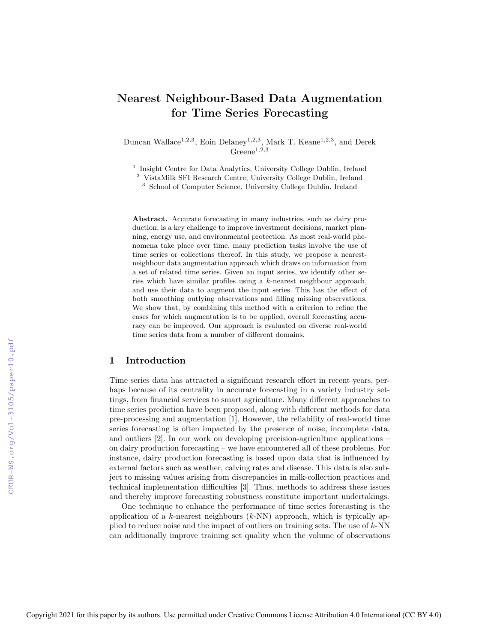# Nearest Neighbour-Based Data Augmentation for Time Series Forecasting

Duncan Wallace<sup>1,2,3</sup>, Eoin Delaney<sup>1,2,3</sup>, Mark T. Keane<sup>1,2,3</sup>, and Derek  $Greene^{1,2,3}$ 

<sup>1</sup> Insight Centre for Data Analytics, University College Dublin, Ireland

<sup>2</sup> VistaMilk SFI Research Centre, University College Dublin, Ireland

<sup>3</sup> School of Computer Science, University College Dublin, Ireland

Abstract. Accurate forecasting in many industries, such as dairy production, is a key challenge to improve investment decisions, market planning, energy use, and environmental protection. As most real-world phenomena take place over time, many prediction tasks involve the use of time series or collections thereof. In this study, we propose a nearestneighbour data augmentation approach which draws on information from a set of related time series. Given an input series, we identify other series which have similar profiles using a k-nearest neighbour approach, and use their data to augment the input series. This has the effect of both smoothing outlying observations and filling missing observations. We show that, by combining this method with a criterion to refine the cases for which augmentation is to be applied, overall forecasting accuracy can be improved. Our approach is evaluated on diverse real-world time series data from a number of different domains.

# 1 Introduction

Time series data has attracted a significant research effort in recent years, perhaps because of its centrality in accurate forecasting in a variety industry settings, from financial services to smart agriculture. Many different approaches to time series prediction have been proposed, along with different methods for data pre-processing and augmentation [1]. However, the reliability of real-world time series forecasting is often impacted by the presence of noise, incomplete data, and outliers [2]. In our work on developing precision-agriculture applications – on dairy production forecasting – we have encountered all of these problems. For instance, dairy production forecasting is based upon data that is influenced by external factors such as weather, calving rates and disease. This data is also subject to missing values arising from discrepancies in milk-collection practices and technical implementation difficulties [3]. Thus, methods to address these issues and thereby improve forecasting robustness constitute important undertakings.

One technique to enhance the performance of time series forecasting is the application of a k-nearest neighbours  $(k-NN)$  approach, which is typically applied to reduce noise and the impact of outliers on training sets. The use of k-NN can additionally improve training set quality when the volume of observations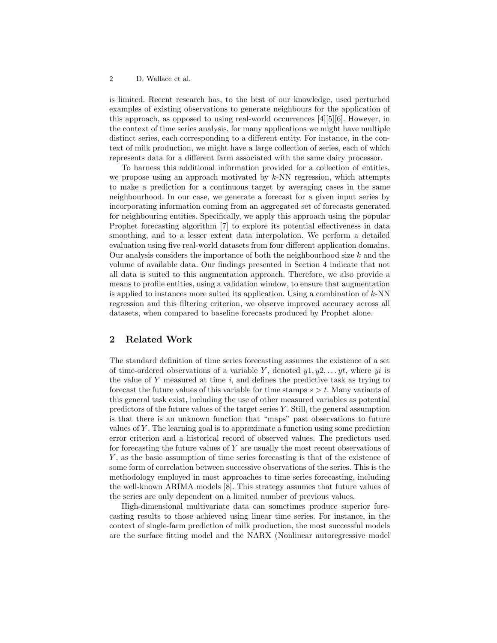is limited. Recent research has, to the best of our knowledge, used perturbed examples of existing observations to generate neighbours for the application of this approach, as opposed to using real-world occurrences [4][5][6]. However, in the context of time series analysis, for many applications we might have multiple distinct series, each corresponding to a different entity. For instance, in the context of milk production, we might have a large collection of series, each of which represents data for a different farm associated with the same dairy processor.

To harness this additional information provided for a collection of entities, we propose using an approach motivated by  $k$ -NN regression, which attempts to make a prediction for a continuous target by averaging cases in the same neighbourhood. In our case, we generate a forecast for a given input series by incorporating information coming from an aggregated set of forecasts generated for neighbouring entities. Specifically, we apply this approach using the popular Prophet forecasting algorithm [7] to explore its potential effectiveness in data smoothing, and to a lesser extent data interpolation. We perform a detailed evaluation using five real-world datasets from four different application domains. Our analysis considers the importance of both the neighbourhood size  $k$  and the volume of available data. Our findings presented in Section 4 indicate that not all data is suited to this augmentation approach. Therefore, we also provide a means to profile entities, using a validation window, to ensure that augmentation is applied to instances more suited its application. Using a combination of  $k$ -NN regression and this filtering criterion, we observe improved accuracy across all datasets, when compared to baseline forecasts produced by Prophet alone.

# 2 Related Work

The standard definition of time series forecasting assumes the existence of a set of time-ordered observations of a variable Y, denoted  $y_1, y_2, \ldots, y_t$ , where yi is the value of  $Y$  measured at time  $i$ , and defines the predictive task as trying to forecast the future values of this variable for time stamps  $s > t$ . Many variants of this general task exist, including the use of other measured variables as potential predictors of the future values of the target series  $Y$ . Still, the general assumption is that there is an unknown function that "maps" past observations to future values of Y . The learning goal is to approximate a function using some prediction error criterion and a historical record of observed values. The predictors used for forecasting the future values of  $Y$  are usually the most recent observations of Y , as the basic assumption of time series forecasting is that of the existence of some form of correlation between successive observations of the series. This is the methodology employed in most approaches to time series forecasting, including the well-known ARIMA models [8]. This strategy assumes that future values of the series are only dependent on a limited number of previous values.

High-dimensional multivariate data can sometimes produce superior forecasting results to those achieved using linear time series. For instance, in the context of single-farm prediction of milk production, the most successful models are the surface fitting model and the NARX (Nonlinear autoregressive model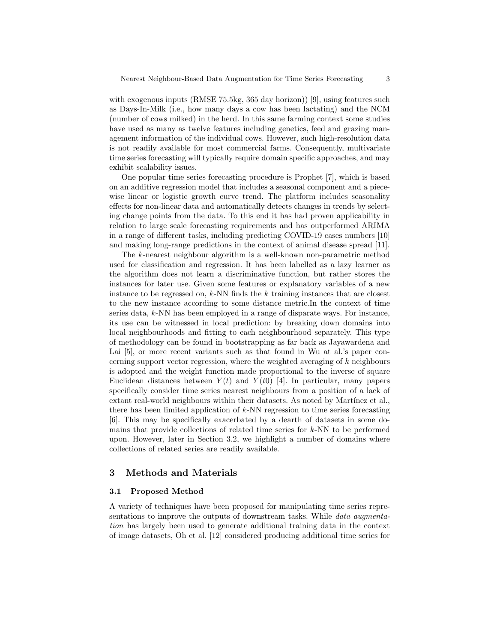with exogenous inputs (RMSE 75.5kg, 365 day horizon)) [9], using features such as Days-In-Milk (i.e., how many days a cow has been lactating) and the NCM (number of cows milked) in the herd. In this same farming context some studies have used as many as twelve features including genetics, feed and grazing management information of the individual cows. However, such high-resolution data is not readily available for most commercial farms. Consequently, multivariate time series forecasting will typically require domain specific approaches, and may exhibit scalability issues.

One popular time series forecasting procedure is Prophet [7], which is based on an additive regression model that includes a seasonal component and a piecewise linear or logistic growth curve trend. The platform includes seasonality effects for non-linear data and automatically detects changes in trends by selecting change points from the data. To this end it has had proven applicability in relation to large scale forecasting requirements and has outperformed ARIMA in a range of different tasks, including predicting COVID-19 cases numbers [10] and making long-range predictions in the context of animal disease spread [11].

The k-nearest neighbour algorithm is a well-known non-parametric method used for classification and regression. It has been labelled as a lazy learner as the algorithm does not learn a discriminative function, but rather stores the instances for later use. Given some features or explanatory variables of a new instance to be regressed on,  $k$ -NN finds the  $k$  training instances that are closest to the new instance according to some distance metric.In the context of time series data, k-NN has been employed in a range of disparate ways. For instance, its use can be witnessed in local prediction: by breaking down domains into local neighbourhoods and fitting to each neighbourhood separately. This type of methodology can be found in bootstrapping as far back as Jayawardena and Lai [5], or more recent variants such as that found in Wu at al.'s paper concerning support vector regression, where the weighted averaging of  $k$  neighbours is adopted and the weight function made proportional to the inverse of square Euclidean distances between  $Y(t)$  and  $Y(t0)$  [4]. In particular, many papers specifically consider time series nearest neighbours from a position of a lack of extant real-world neighbours within their datasets. As noted by Martínez et al., there has been limited application of  $k$ -NN regression to time series forecasting [6]. This may be specifically exacerbated by a dearth of datasets in some domains that provide collections of related time series for  $k$ -NN to be performed upon. However, later in Section 3.2, we highlight a number of domains where collections of related series are readily available.

### 3 Methods and Materials

#### 3.1 Proposed Method

A variety of techniques have been proposed for manipulating time series representations to improve the outputs of downstream tasks. While *data augmenta*tion has largely been used to generate additional training data in the context of image datasets, Oh et al. [12] considered producing additional time series for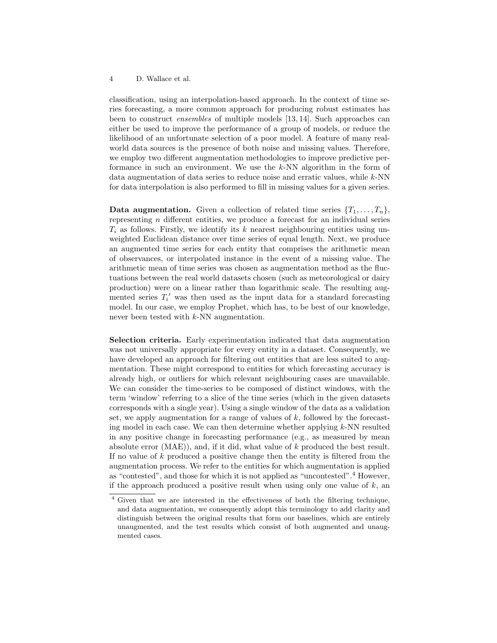classification, using an interpolation-based approach. In the context of time series forecasting, a more common approach for producing robust estimates has been to construct ensembles of multiple models [13, 14]. Such approaches can either be used to improve the performance of a group of models, or reduce the likelihood of an unfortunate selection of a poor model. A feature of many realworld data sources is the presence of both noise and missing values. Therefore, we employ two different augmentation methodologies to improve predictive performance in such an environment. We use the k-NN algorithm in the form of data augmentation of data series to reduce noise and erratic values, while  $k$ -NN for data interpolation is also performed to fill in missing values for a given series.

**Data augmentation.** Given a collection of related time series  $\{T_1, \ldots, T_n\}$ , representing n different entities, we produce a forecast for an individual series  $T_i$  as follows. Firstly, we identify its k nearest neighbouring entities using unweighted Euclidean distance over time series of equal length. Next, we produce an augmented time series for each entity that comprises the arithmetic mean of observances, or interpolated instance in the event of a missing value. The arithmetic mean of time series was chosen as augmentation method as the fluctuations between the real world datasets chosen (such as meteorological or dairy production) were on a linear rather than logarithmic scale. The resulting augmented series  $T_i'$  was then used as the input data for a standard forecasting model. In our case, we employ Prophet, which has, to be best of our knowledge, never been tested with k-NN augmentation.

Selection criteria. Early experimentation indicated that data augmentation was not universally appropriate for every entity in a dataset. Consequently, we have developed an approach for filtering out entities that are less suited to augmentation. These might correspond to entities for which forecasting accuracy is already high, or outliers for which relevant neighbouring cases are unavailable. We can consider the time-series to be composed of distinct windows, with the term 'window' referring to a slice of the time series (which in the given datasets corresponds with a single year). Using a single window of the data as a validation set, we apply augmentation for a range of values of  $k$ , followed by the forecasting model in each case. We can then determine whether applying  $k$ -NN resulted in any positive change in forecasting performance (e.g., as measured by mean absolute error (MAE)), and, if it did, what value of  $k$  produced the best result. If no value of  $k$  produced a positive change then the entity is filtered from the augmentation process. We refer to the entities for which augmentation is applied as "contested", and those for which it is not applied as "uncontested".<sup>4</sup> However, if the approach produced a positive result when using only one value of  $k$ , an

<sup>4</sup> Given that we are interested in the effectiveness of both the filtering technique, and data augmentation, we consequently adopt this terminology to add clarity and distinguish between the original results that form our baselines, which are entirely unaugmented, and the test results which consist of both augmented and unaugmented cases.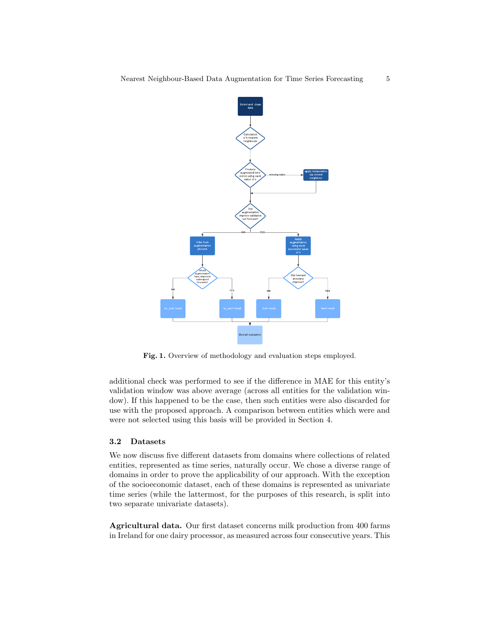

Fig. 1. Overview of methodology and evaluation steps employed.

additional check was performed to see if the difference in MAE for this entity's validation window was above average (across all entities for the validation window). If this happened to be the case, then such entities were also discarded for use with the proposed approach. A comparison between entities which were and were not selected using this basis will be provided in Section 4.

# 3.2 Datasets

We now discuss five different datasets from domains where collections of related entities, represented as time series, naturally occur. We chose a diverse range of domains in order to prove the applicability of our approach. With the exception of the socioeconomic dataset, each of these domains is represented as univariate time series (while the lattermost, for the purposes of this research, is split into two separate univariate datasets).

Agricultural data. Our first dataset concerns milk production from 400 farms in Ireland for one dairy processor, as measured across four consecutive years. This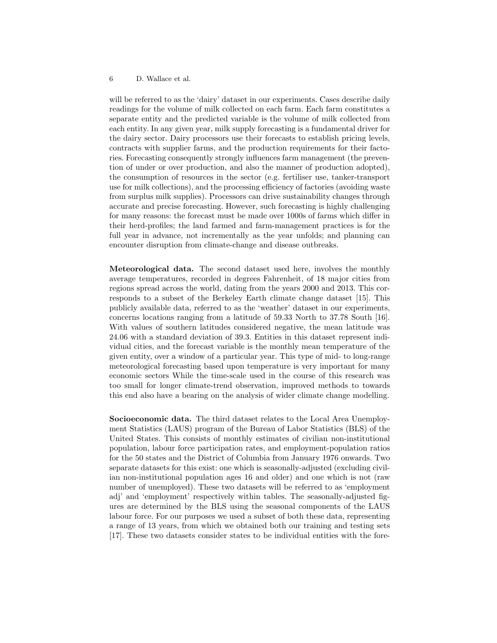will be referred to as the 'dairy' dataset in our experiments. Cases describe daily readings for the volume of milk collected on each farm. Each farm constitutes a separate entity and the predicted variable is the volume of milk collected from each entity. In any given year, milk supply forecasting is a fundamental driver for the dairy sector. Dairy processors use their forecasts to establish pricing levels, contracts with supplier farms, and the production requirements for their factories. Forecasting consequently strongly influences farm management (the prevention of under or over production, and also the manner of production adopted), the consumption of resources in the sector (e.g. fertiliser use, tanker-transport use for milk collections), and the processing efficiency of factories (avoiding waste from surplus milk supplies). Processors can drive sustainability changes through accurate and precise forecasting. However, such forecasting is highly challenging for many reasons: the forecast must be made over 1000s of farms which differ in their herd-profiles; the land farmed and farm-management practices is for the full year in advance, not incrementally as the year unfolds; and planning can encounter disruption from climate-change and disease outbreaks.

Meteorological data. The second dataset used here, involves the monthly average temperatures, recorded in degrees Fahrenheit, of 18 major cities from regions spread across the world, dating from the years 2000 and 2013. This corresponds to a subset of the Berkeley Earth climate change dataset [15]. This publicly available data, referred to as the 'weather' dataset in our experiments, concerns locations ranging from a latitude of 59.33 North to 37.78 South [16]. With values of southern latitudes considered negative, the mean latitude was 24.06 with a standard deviation of 39.3. Entities in this dataset represent individual cities, and the forecast variable is the monthly mean temperature of the given entity, over a window of a particular year. This type of mid- to long-range meteorological forecasting based upon temperature is very important for many economic sectors While the time-scale used in the course of this research was too small for longer climate-trend observation, improved methods to towards this end also have a bearing on the analysis of wider climate change modelling.

Socioeconomic data. The third dataset relates to the Local Area Unemployment Statistics (LAUS) program of the Bureau of Labor Statistics (BLS) of the United States. This consists of monthly estimates of civilian non-institutional population, labour force participation rates, and employment-population ratios for the 50 states and the District of Columbia from January 1976 onwards. Two separate datasets for this exist: one which is seasonally-adjusted (excluding civilian non-institutional population ages 16 and older) and one which is not (raw number of unemployed). These two datasets will be referred to as 'employment adj' and 'employment' respectively within tables. The seasonally-adjusted figures are determined by the BLS using the seasonal components of the LAUS labour force. For our purposes we used a subset of both these data, representing a range of 13 years, from which we obtained both our training and testing sets [17]. These two datasets consider states to be individual entities with the fore-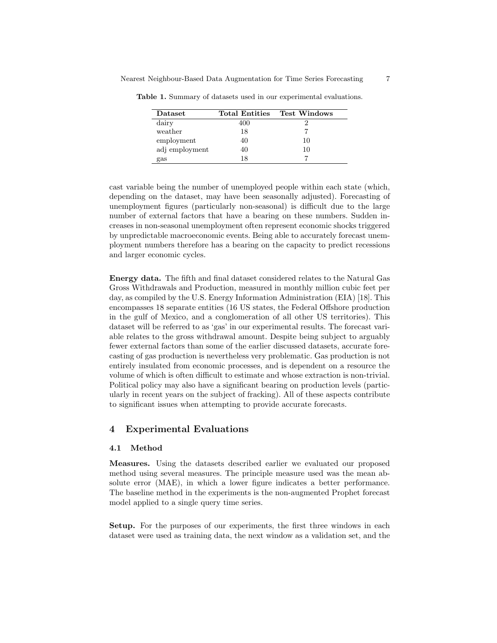| <b>Dataset</b> | <b>Total Entities</b> | <b>Test Windows</b> |
|----------------|-----------------------|---------------------|
| dairy          | 400                   |                     |
| weather        | 18                    |                     |
| employment     | 40                    | 10                  |
| adj employment | 40                    | 10                  |
| gas            | 18                    |                     |

Table 1. Summary of datasets used in our experimental evaluations.

cast variable being the number of unemployed people within each state (which, depending on the dataset, may have been seasonally adjusted). Forecasting of unemployment figures (particularly non-seasonal) is difficult due to the large number of external factors that have a bearing on these numbers. Sudden increases in non-seasonal unemployment often represent economic shocks triggered by unpredictable macroeconomic events. Being able to accurately forecast unemployment numbers therefore has a bearing on the capacity to predict recessions and larger economic cycles.

Energy data. The fifth and final dataset considered relates to the Natural Gas Gross Withdrawals and Production, measured in monthly million cubic feet per day, as compiled by the U.S. Energy Information Administration (EIA) [18]. This encompasses 18 separate entities (16 US states, the Federal Offshore production in the gulf of Mexico, and a conglomeration of all other US territories). This dataset will be referred to as 'gas' in our experimental results. The forecast variable relates to the gross withdrawal amount. Despite being subject to arguably fewer external factors than some of the earlier discussed datasets, accurate forecasting of gas production is nevertheless very problematic. Gas production is not entirely insulated from economic processes, and is dependent on a resource the volume of which is often difficult to estimate and whose extraction is non-trivial. Political policy may also have a significant bearing on production levels (particularly in recent years on the subject of fracking). All of these aspects contribute to significant issues when attempting to provide accurate forecasts.

### 4 Experimental Evaluations

#### 4.1 Method

Measures. Using the datasets described earlier we evaluated our proposed method using several measures. The principle measure used was the mean absolute error (MAE), in which a lower figure indicates a better performance. The baseline method in the experiments is the non-augmented Prophet forecast model applied to a single query time series.

Setup. For the purposes of our experiments, the first three windows in each dataset were used as training data, the next window as a validation set, and the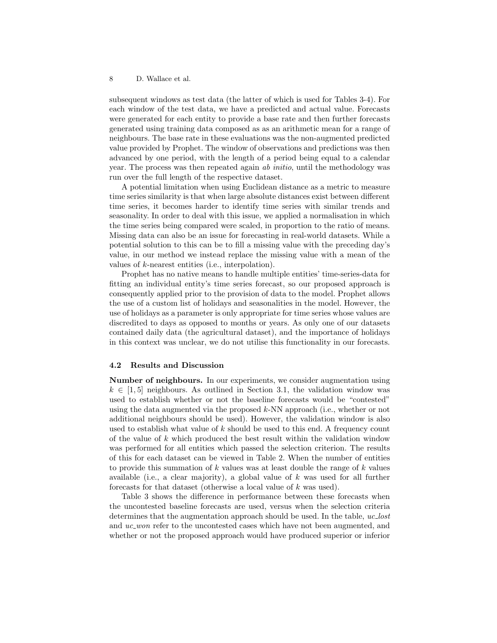subsequent windows as test data (the latter of which is used for Tables 3-4). For each window of the test data, we have a predicted and actual value. Forecasts were generated for each entity to provide a base rate and then further forecasts generated using training data composed as as an arithmetic mean for a range of neighbours. The base rate in these evaluations was the non-augmented predicted value provided by Prophet. The window of observations and predictions was then advanced by one period, with the length of a period being equal to a calendar year. The process was then repeated again ab initio, until the methodology was run over the full length of the respective dataset.

A potential limitation when using Euclidean distance as a metric to measure time series similarity is that when large absolute distances exist between different time series, it becomes harder to identify time series with similar trends and seasonality. In order to deal with this issue, we applied a normalisation in which the time series being compared were scaled, in proportion to the ratio of means. Missing data can also be an issue for forecasting in real-world datasets. While a potential solution to this can be to fill a missing value with the preceding day's value, in our method we instead replace the missing value with a mean of the values of k-nearest entities (i.e., interpolation).

Prophet has no native means to handle multiple entities' time-series-data for fitting an individual entity's time series forecast, so our proposed approach is consequently applied prior to the provision of data to the model. Prophet allows the use of a custom list of holidays and seasonalities in the model. However, the use of holidays as a parameter is only appropriate for time series whose values are discredited to days as opposed to months or years. As only one of our datasets contained daily data (the agricultural dataset), and the importance of holidays in this context was unclear, we do not utilise this functionality in our forecasts.

### 4.2 Results and Discussion

Number of neighbours. In our experiments, we consider augmentation using  $k \in [1, 5]$  neighbours. As outlined in Section 3.1, the validation window was used to establish whether or not the baseline forecasts would be "contested" using the data augmented via the proposed  $k$ -NN approach (i.e., whether or not additional neighbours should be used). However, the validation window is also used to establish what value of  $k$  should be used to this end. A frequency count of the value of k which produced the best result within the validation window was performed for all entities which passed the selection criterion. The results of this for each dataset can be viewed in Table 2. When the number of entities to provide this summation of  $k$  values was at least double the range of  $k$  values available (i.e., a clear majority), a global value of  $k$  was used for all further forecasts for that dataset (otherwise a local value of k was used).

Table 3 shows the difference in performance between these forecasts when the uncontested baseline forecasts are used, versus when the selection criteria determines that the augmentation approach should be used. In the table, uc lost and uc\_won refer to the uncontested cases which have not been augmented, and whether or not the proposed approach would have produced superior or inferior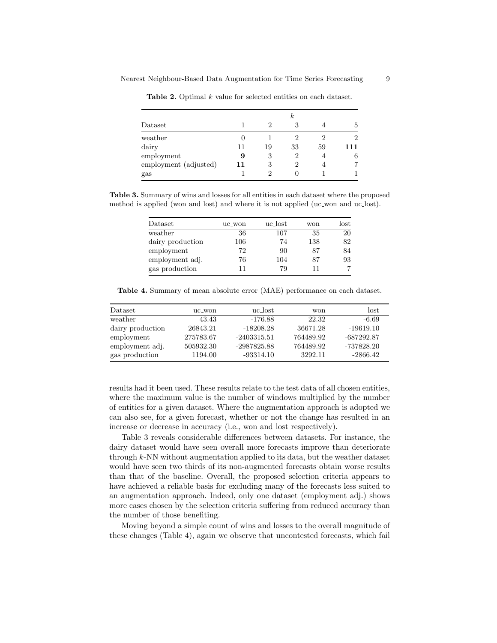|                       | $\kappa$ |    |                |    |     |
|-----------------------|----------|----|----------------|----|-----|
| Dataset               |          | 2  | 3              |    | b.  |
| weather               |          |    | $\mathcal{D}$  | 2  |     |
| dairy                 | 11       | 19 | 33             | 59 | 111 |
| employment            | 9        | 3  | $\overline{2}$ |    | 6   |
| employment (adjusted) | 11       | 3  | 2              | 4  |     |
| gas                   |          | 2  |                |    |     |

Table 2. Optimal k value for selected entities on each dataset.

Table 3. Summary of wins and losses for all entities in each dataset where the proposed method is applied (won and lost) and where it is not applied (uc won and uc lost).

| Dataset          | uc_won | uc_lost | won | $_{\rm lost}$ |
|------------------|--------|---------|-----|---------------|
| weather          | 36     | 107     | 35  | 20            |
| dairy production | 106    | 74      | 138 | 82            |
| employment       | 72     | 90      | 87  | 84            |
| employment adj.  | 76     | 104     | 87  | 93            |
| gas production   |        | 79      |     |               |

Table 4. Summary of mean absolute error (MAE) performance on each dataset.

| Dataset          | uc_won    | uc_lost       | won       | lost         |
|------------------|-----------|---------------|-----------|--------------|
| weather          | 43.43     | -176.88       | 22.32     | -6.69        |
| dairy production | 26843.21  | $-18208.28$   | 36671.28  | $-19619.10$  |
| employment       | 275783.67 | $-2403315.51$ | 764489.92 | $-687292.87$ |
| employment adj.  | 505932.30 | -2987825.88   | 764489.92 | -737828.20   |
| gas production   | 1194.00   | $-93314.10$   | 3292.11   | $-2866.42$   |

results had it been used. These results relate to the test data of all chosen entities, where the maximum value is the number of windows multiplied by the number of entities for a given dataset. Where the augmentation approach is adopted we can also see, for a given forecast, whether or not the change has resulted in an increase or decrease in accuracy (i.e., won and lost respectively).

Table 3 reveals considerable differences between datasets. For instance, the dairy dataset would have seen overall more forecasts improve than deteriorate through k-NN without augmentation applied to its data, but the weather dataset would have seen two thirds of its non-augmented forecasts obtain worse results than that of the baseline. Overall, the proposed selection criteria appears to have achieved a reliable basis for excluding many of the forecasts less suited to an augmentation approach. Indeed, only one dataset (employment adj.) shows more cases chosen by the selection criteria suffering from reduced accuracy than the number of those benefiting.

Moving beyond a simple count of wins and losses to the overall magnitude of these changes (Table 4), again we observe that uncontested forecasts, which fail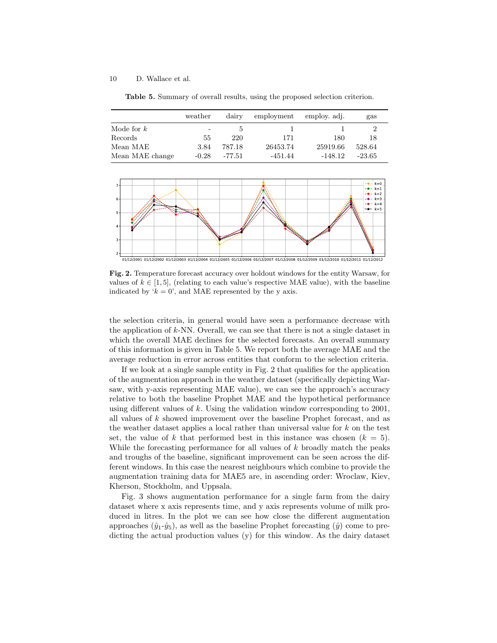Table 5. Summary of overall results, using the proposed selection criterion.

|                 | weather | dairy    | employment | employ. adj. | gas      |
|-----------------|---------|----------|------------|--------------|----------|
| Mode for $k$    | -       |          |            |              |          |
| Records         | 55      | 220      | 171        | 180          | 18       |
| Mean MAE        | 3.84    | 787.18   | 26453.74   | 25919.66     | 528.64   |
| Mean MAE change | $-0.28$ | $-77.51$ | $-451.44$  | $-148.12$    | $-23.65$ |



Fig. 2. Temperature forecast accuracy over holdout windows for the entity Warsaw, for values of  $k \in [1, 5]$ , (relating to each value's respective MAE value), with the baseline indicated by ' $k = 0$ ', and MAE represented by the y axis.

the selection criteria, in general would have seen a performance decrease with the application of k-NN. Overall, we can see that there is not a single dataset in which the overall MAE declines for the selected forecasts. An overall summary of this information is given in Table 5. We report both the average MAE and the average reduction in error across entities that conform to the selection criteria.

If we look at a single sample entity in Fig. 2 that qualifies for the application of the augmentation approach in the weather dataset (specifically depicting Warsaw, with y-axis representing MAE value), we can see the approach's accuracy relative to both the baseline Prophet MAE and the hypothetical performance using different values of k. Using the validation window corresponding to  $2001$ , all values of k showed improvement over the baseline Prophet forecast, and as the weather dataset applies a local rather than universal value for k on the test set, the value of k that performed best in this instance was chosen  $(k = 5)$ . While the forecasting performance for all values of k broadly match the peaks and troughs of the baseline, significant improvement can be seen across the different windows. In this case the nearest neighbours which combine to provide the augmentation training data for MAE5 are, in ascending order: Wroclaw, Kiev, Kherson, Stockholm, and Uppsala.

Fig. 3 shows augmentation performance for a single farm from the dairy dataset where x axis represents time, and y axis represents volume of milk produced in litres. In the plot we can see how close the different augmentation approaches  $(\hat{y}_1 - \hat{y}_5)$ , as well as the baseline Prophet forecasting  $(\hat{y})$  come to predicting the actual production values (y) for this window. As the dairy dataset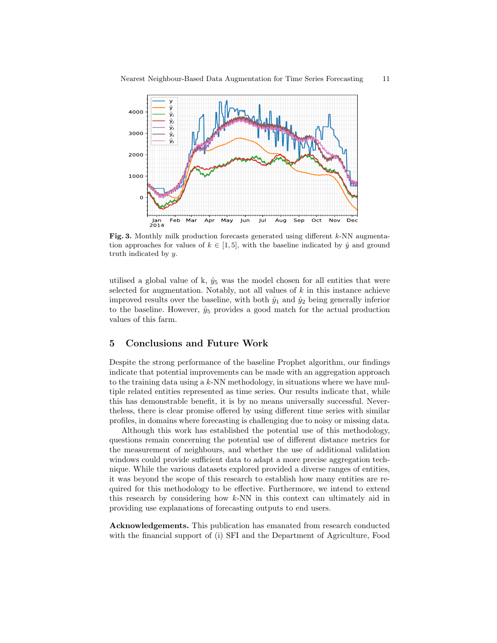

Fig. 3. Monthly milk production forecasts generated using different k-NN augmentation approaches for values of  $k \in [1, 5]$ , with the baseline indicated by  $\hat{y}$  and ground truth indicated by y.

utilised a global value of k,  $\hat{y}_5$  was the model chosen for all entities that were selected for augmentation. Notably, not all values of  $k$  in this instance achieve improved results over the baseline, with both  $\hat{y}_1$  and  $\hat{y}_2$  being generally inferior to the baseline. However,  $\hat{y}_5$  provides a good match for the actual production values of this farm.

# 5 Conclusions and Future Work

Despite the strong performance of the baseline Prophet algorithm, our findings indicate that potential improvements can be made with an aggregation approach to the training data using a  $k$ -NN methodology, in situations where we have multiple related entities represented as time series. Our results indicate that, while this has demonstrable benefit, it is by no means universally successful. Nevertheless, there is clear promise offered by using different time series with similar profiles, in domains where forecasting is challenging due to noisy or missing data.

Although this work has established the potential use of this methodology, questions remain concerning the potential use of different distance metrics for the measurement of neighbours, and whether the use of additional validation windows could provide sufficient data to adapt a more precise aggregation technique. While the various datasets explored provided a diverse ranges of entities, it was beyond the scope of this research to establish how many entities are required for this methodology to be effective. Furthermore, we intend to extend this research by considering how k-NN in this context can ultimately aid in providing use explanations of forecasting outputs to end users.

Acknowledgements. This publication has emanated from research conducted with the financial support of (i) SFI and the Department of Agriculture, Food